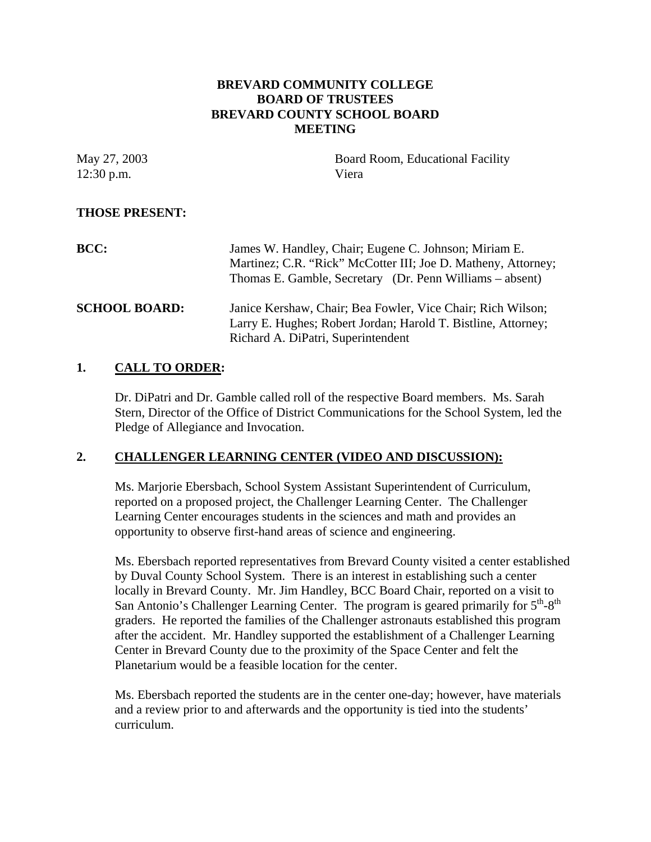# **BREVARD COMMUNITY COLLEGE BOARD OF TRUSTEES BREVARD COUNTY SCHOOL BOARD MEETING**

May 27, 2003 Board Room, Educational Facility 12:30 p.m. Viera

# **THOSE PRESENT:**

| <b>BCC:</b>          | James W. Handley, Chair; Eugene C. Johnson; Miriam E.<br>Martinez; C.R. "Rick" McCotter III; Joe D. Matheny, Attorney;<br>Thomas E. Gamble, Secretary (Dr. Penn Williams – absent) |
|----------------------|------------------------------------------------------------------------------------------------------------------------------------------------------------------------------------|
| <b>SCHOOL BOARD:</b> | Janice Kershaw, Chair; Bea Fowler, Vice Chair; Rich Wilson;<br>Larry E. Hughes; Robert Jordan; Harold T. Bistline, Attorney;<br>Richard A. DiPatri, Superintendent                 |

# **1. CALL TO ORDER:**

Dr. DiPatri and Dr. Gamble called roll of the respective Board members. Ms. Sarah Stern, Director of the Office of District Communications for the School System, led the Pledge of Allegiance and Invocation.

### **2. CHALLENGER LEARNING CENTER (VIDEO AND DISCUSSION):**

Ms. Marjorie Ebersbach, School System Assistant Superintendent of Curriculum, reported on a proposed project, the Challenger Learning Center. The Challenger Learning Center encourages students in the sciences and math and provides an opportunity to observe first-hand areas of science and engineering.

Ms. Ebersbach reported representatives from Brevard County visited a center established by Duval County School System. There is an interest in establishing such a center locally in Brevard County. Mr. Jim Handley, BCC Board Chair, reported on a visit to San Antonio's Challenger Learning Center. The program is geared primarily for  $5<sup>th</sup>-8<sup>th</sup>$ graders. He reported the families of the Challenger astronauts established this program after the accident. Mr. Handley supported the establishment of a Challenger Learning Center in Brevard County due to the proximity of the Space Center and felt the Planetarium would be a feasible location for the center.

Ms. Ebersbach reported the students are in the center one-day; however, have materials and a review prior to and afterwards and the opportunity is tied into the students' curriculum.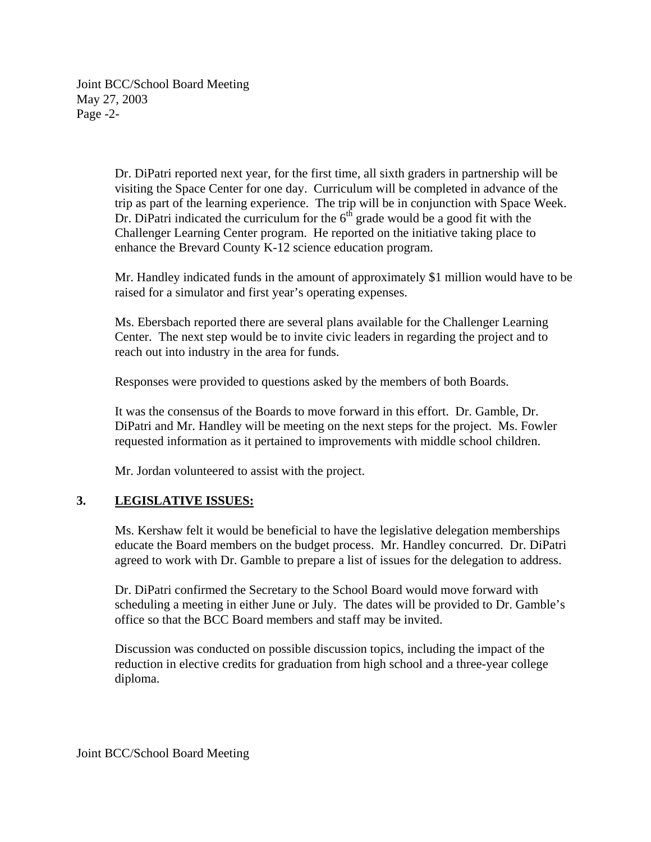Joint BCC/School Board Meeting May 27, 2003 Page -2-

> Dr. DiPatri reported next year, for the first time, all sixth graders in partnership will be visiting the Space Center for one day. Curriculum will be completed in advance of the trip as part of the learning experience. The trip will be in conjunction with Space Week. Dr. DiPatri indicated the curriculum for the  $6<sup>th</sup>$  grade would be a good fit with the Challenger Learning Center program. He reported on the initiative taking place to enhance the Brevard County K-12 science education program.

Mr. Handley indicated funds in the amount of approximately \$1 million would have to be raised for a simulator and first year's operating expenses.

Ms. Ebersbach reported there are several plans available for the Challenger Learning Center. The next step would be to invite civic leaders in regarding the project and to reach out into industry in the area for funds.

Responses were provided to questions asked by the members of both Boards.

It was the consensus of the Boards to move forward in this effort. Dr. Gamble, Dr. DiPatri and Mr. Handley will be meeting on the next steps for the project. Ms. Fowler requested information as it pertained to improvements with middle school children.

Mr. Jordan volunteered to assist with the project.

# **3. LEGISLATIVE ISSUES:**

Ms. Kershaw felt it would be beneficial to have the legislative delegation memberships educate the Board members on the budget process. Mr. Handley concurred. Dr. DiPatri agreed to work with Dr. Gamble to prepare a list of issues for the delegation to address.

Dr. DiPatri confirmed the Secretary to the School Board would move forward with scheduling a meeting in either June or July. The dates will be provided to Dr. Gamble's office so that the BCC Board members and staff may be invited.

Discussion was conducted on possible discussion topics, including the impact of the reduction in elective credits for graduation from high school and a three-year college diploma.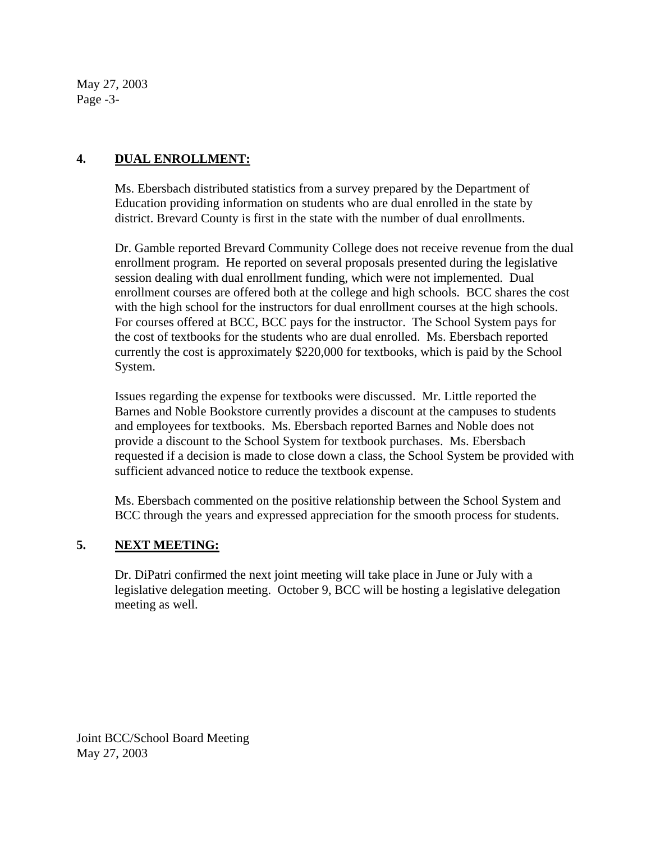May 27, 2003 Page -3-

# **4. DUAL ENROLLMENT:**

Ms. Ebersbach distributed statistics from a survey prepared by the Department of Education providing information on students who are dual enrolled in the state by district. Brevard County is first in the state with the number of dual enrollments.

Dr. Gamble reported Brevard Community College does not receive revenue from the dual enrollment program. He reported on several proposals presented during the legislative session dealing with dual enrollment funding, which were not implemented. Dual enrollment courses are offered both at the college and high schools. BCC shares the cost with the high school for the instructors for dual enrollment courses at the high schools. For courses offered at BCC, BCC pays for the instructor. The School System pays for the cost of textbooks for the students who are dual enrolled. Ms. Ebersbach reported currently the cost is approximately \$220,000 for textbooks, which is paid by the School System.

Issues regarding the expense for textbooks were discussed. Mr. Little reported the Barnes and Noble Bookstore currently provides a discount at the campuses to students and employees for textbooks. Ms. Ebersbach reported Barnes and Noble does not provide a discount to the School System for textbook purchases. Ms. Ebersbach requested if a decision is made to close down a class, the School System be provided with sufficient advanced notice to reduce the textbook expense.

Ms. Ebersbach commented on the positive relationship between the School System and BCC through the years and expressed appreciation for the smooth process for students.

### **5. NEXT MEETING:**

Dr. DiPatri confirmed the next joint meeting will take place in June or July with a legislative delegation meeting. October 9, BCC will be hosting a legislative delegation meeting as well.

Joint BCC/School Board Meeting May 27, 2003